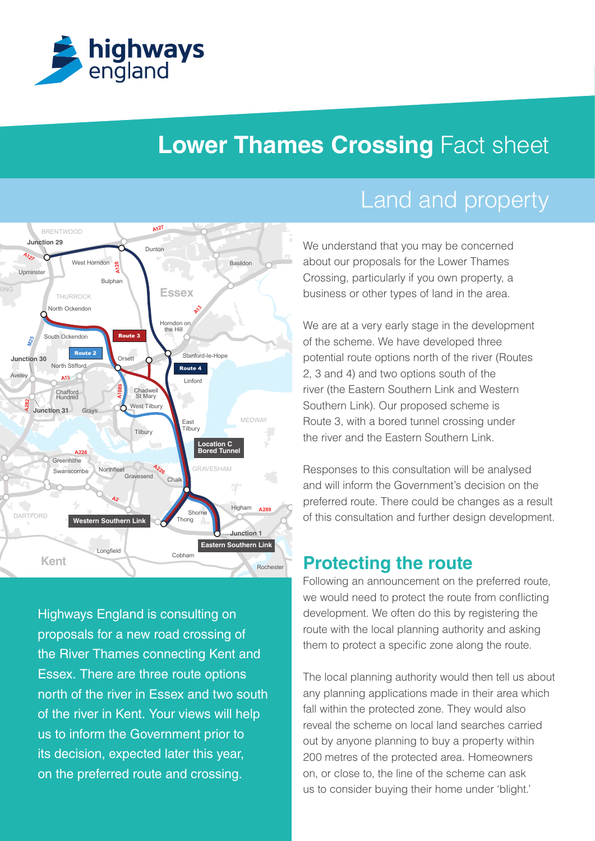

# **Lower Thames Crossing Fact sheet**



**M20 M26 M20** north of the river in Essex and two south Highways England is consulting on proposals for a new road crossing of the River Thames connecting Kent and Essex. There are three route options of the river in Kent. Your views will help us to inform the Government prior to its decision, expected later this year, on the preferred route and crossing.

# Land and property

Basildon about our proposals for the Lower Thames We understand that you may be concerned Crossing, particularly if you own property, a business or other types of land in the area.

> of the scheme. We have developed three We are at a very early stage in the development potential route options north of the river (Routes 2, 3 and 4) and two options south of the river (the Eastern Southern Link and Western Southern Link). Our proposed scheme is Route 3, with a bored tunnel crossing under the river and the Eastern Southern Link.

Responses to this consultation will be analysed and will inform the Government's decision on the preferred route. There could be changes as a result of this consultation and further design development.

## **Protecting the route**

**M2** route with the local planning authority and asking Following an announcement on the preferred route, we would need to protect the route from conflicting development. We often do this by registering the them to protect a specific zone along the route.

The local planning authority would then tell us about any planning applications made in their area which fall within the protected zone. They would also reveal the scheme on local land searches carried out by anyone planning to buy a property within 200 metres of the protected area. Homeowners on, or close to, the line of the scheme can ask us to consider buying their home under 'blight.'